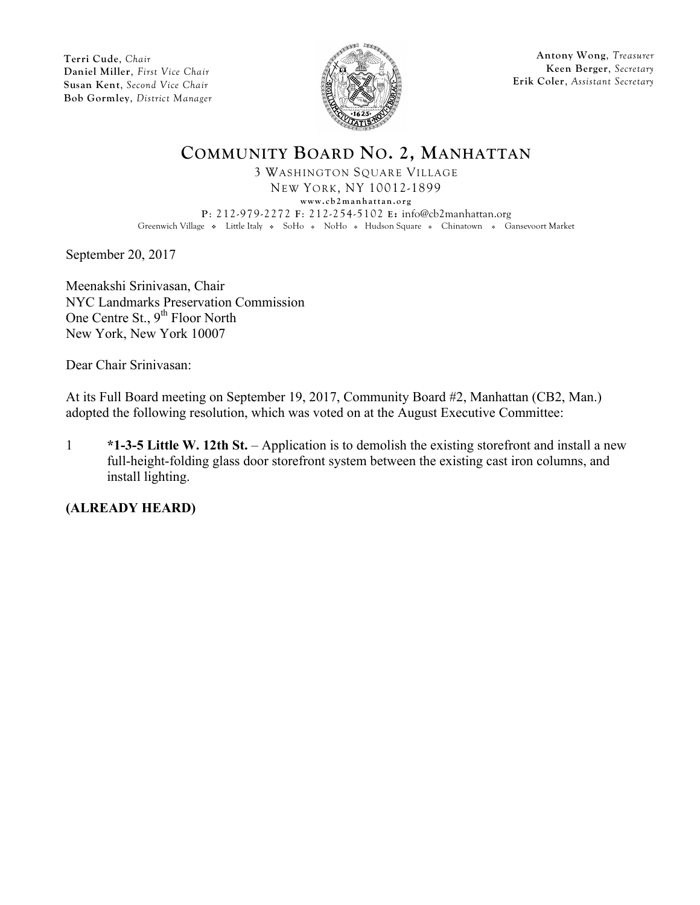

**Antony Wong**, *Treasurer* **Keen Berger**, *Secretary* **Erik Coler**, *Assistant Secretary*

# **COMMUNITY BOARD NO. 2, MANHATTAN**

3 WASHINGTON SQUARE VILLAGE NEW YORK, NY 10012-1899 **www.cb2manhattan.org P**: 212-979-2272 **F**: 212-254-5102 **E:** info@cb2manhattan.org Greenwich Village • Little Italy • SoHo • NoHo • Hudson Square • Chinatown • Gansevoort Market

September 20, 2017

Meenakshi Srinivasan, Chair NYC Landmarks Preservation Commission One Centre St., 9<sup>th</sup> Floor North New York, New York 10007

Dear Chair Srinivasan:

At its Full Board meeting on September 19, 2017, Community Board #2, Manhattan (CB2, Man.) adopted the following resolution, which was voted on at the August Executive Committee:

1 **\*1-3-5 Little W. 12th St.** – Application is to demolish the existing storefront and install a new full-height-folding glass door storefront system between the existing cast iron columns, and install lighting.

**(ALREADY HEARD)**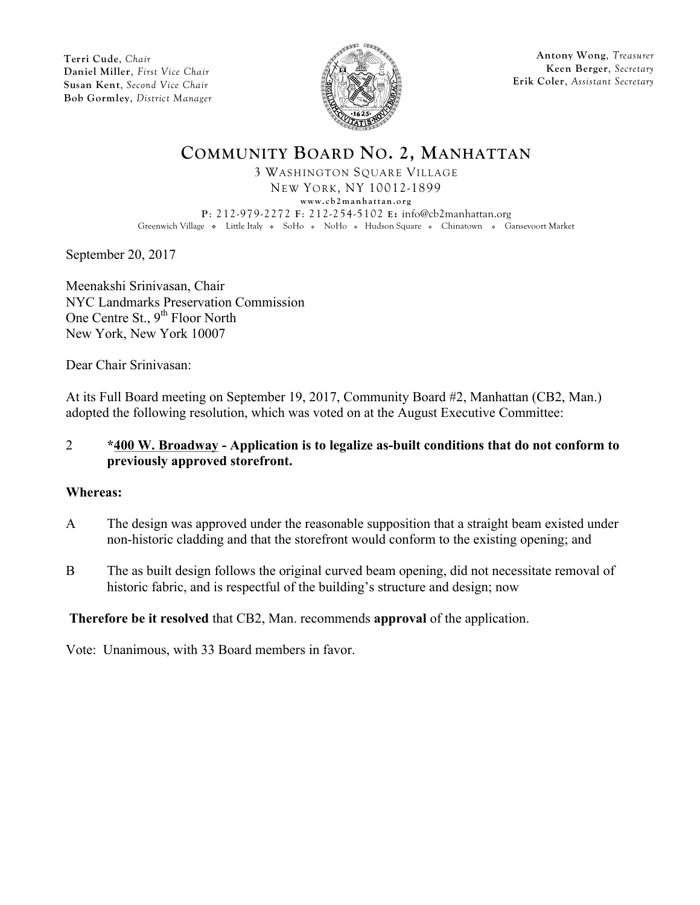

**Antony Wong**, *Treasurer* **Keen Berger**, *Secretary* **Erik Coler**, *Assistant Secretary*

# **COMMUNITY BOARD NO. 2, MANHATTAN**

3 WASHINGTON SQUARE VILLAGE NEW YORK, NY 10012-1899 **www.cb2manhattan.org P**: 212-979-2272 **F**: 212-254-5102 **E:** info@cb2manhattan.org Greenwich Village • Little Italy • SoHo • NoHo • Hudson Square • Chinatown • Gansevoort Market

September 20, 2017

Meenakshi Srinivasan, Chair NYC Landmarks Preservation Commission One Centre St., 9<sup>th</sup> Floor North New York, New York 10007

Dear Chair Srinivasan:

At its Full Board meeting on September 19, 2017, Community Board #2, Manhattan (CB2, Man.) adopted the following resolution, which was voted on at the August Executive Committee:

#### 2 **\*400 W. Broadway - Application is to legalize as-built conditions that do not conform to previously approved storefront.**

#### **Whereas:**

- A The design was approved under the reasonable supposition that a straight beam existed under non-historic cladding and that the storefront would conform to the existing opening; and
- B The as built design follows the original curved beam opening, did not necessitate removal of historic fabric, and is respectful of the building's structure and design; now

## **Therefore be it resolved** that CB2, Man. recommends **approval** of the application.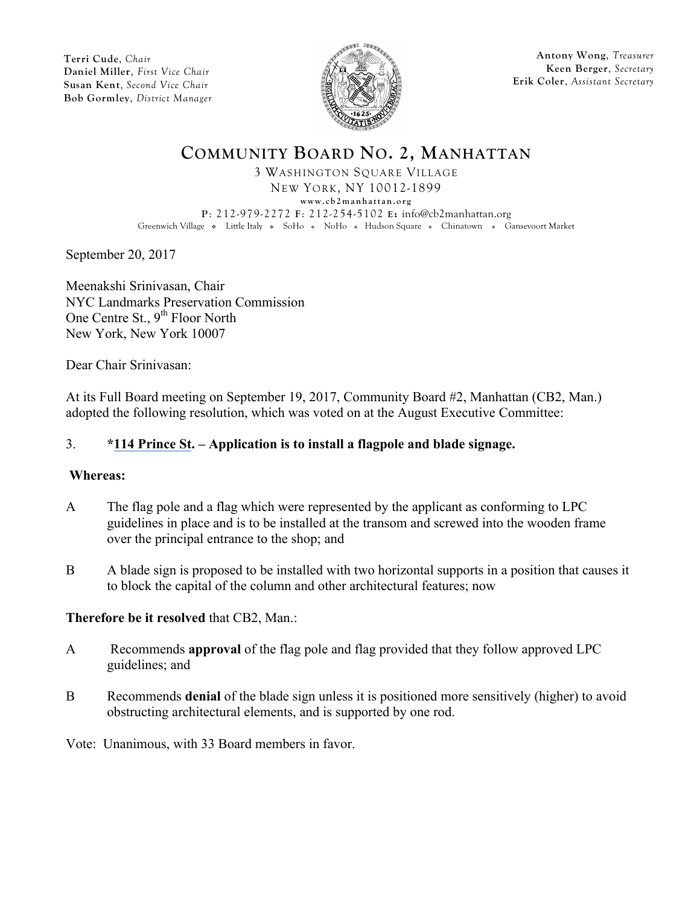

**Antony Wong**, *Treasurer* **Keen Berger**, *Secretary* **Erik Coler**, *Assistant Secretary*

# **COMMUNITY BOARD NO. 2, MANHATTAN**

3 WASHINGTON SQUARE VILLAGE NEW YORK, NY 10012-1899 **www.cb2manhattan.org P**: 212-979-2272 **F**: 212-254-5102 **E:** info@cb2manhattan.org Greenwich Village • Little Italy • SoHo • NoHo • Hudson Square • Chinatown • Gansevoort Market

September 20, 2017

Meenakshi Srinivasan, Chair NYC Landmarks Preservation Commission One Centre St., 9<sup>th</sup> Floor North New York, New York 10007

Dear Chair Srinivasan:

At its Full Board meeting on September 19, 2017, Community Board #2, Manhattan (CB2, Man.) adopted the following resolution, which was voted on at the August Executive Committee:

## 3. **\*114 Prince St. – Application is to install a flagpole and blade signage.**

#### **Whereas:**

- A The flag pole and a flag which were represented by the applicant as conforming to LPC guidelines in place and is to be installed at the transom and screwed into the wooden frame over the principal entrance to the shop; and
- B A blade sign is proposed to be installed with two horizontal supports in a position that causes it to block the capital of the column and other architectural features; now

## **Therefore be it resolved** that CB2, Man.:

- A Recommends **approval** of the flag pole and flag provided that they follow approved LPC guidelines; and
- B Recommends **denial** of the blade sign unless it is positioned more sensitively (higher) to avoid obstructing architectural elements, and is supported by one rod.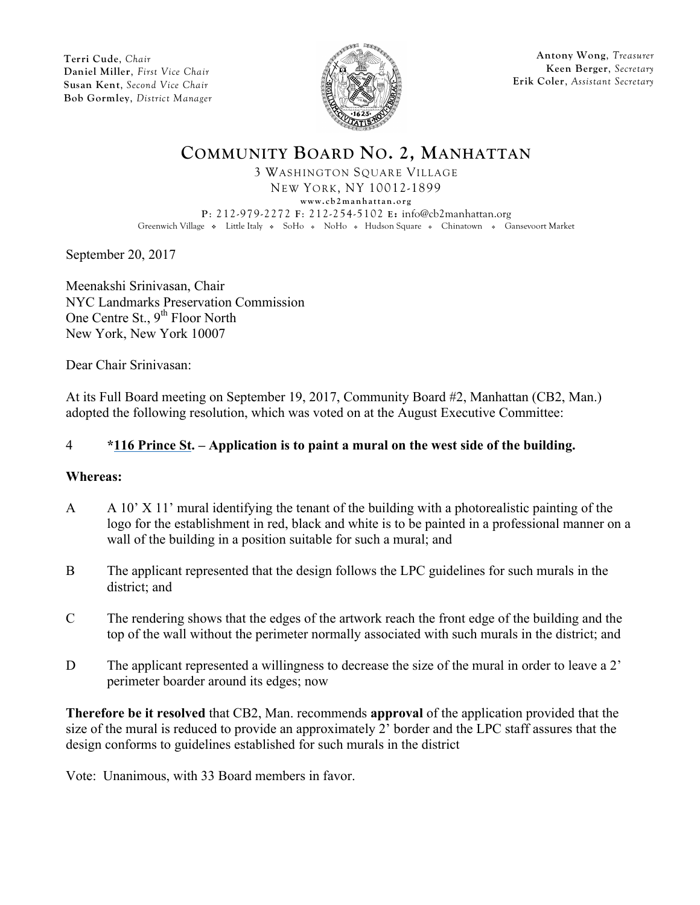

**Antony Wong**, *Treasurer* **Keen Berger**, *Secretary* **Erik Coler**, *Assistant Secretary*

# **COMMUNITY BOARD NO. 2, MANHATTAN**

3 WASHINGTON SQUARE VILLAGE NEW YORK, NY 10012-1899 **www.cb2manhattan.org P**: 212-979-2272 **F**: 212-254-5102 **E:** info@cb2manhattan.org Greenwich Village • Little Italy • SoHo • NoHo • Hudson Square • Chinatown • Gansevoort Market

September 20, 2017

Meenakshi Srinivasan, Chair NYC Landmarks Preservation Commission One Centre St., 9<sup>th</sup> Floor North New York, New York 10007

Dear Chair Srinivasan:

At its Full Board meeting on September 19, 2017, Community Board #2, Manhattan (CB2, Man.) adopted the following resolution, which was voted on at the August Executive Committee:

## 4 **\*116 Prince St. – Application is to paint a mural on the west side of the building.**

#### **Whereas:**

- A  $A = A$  10' X 11' mural identifying the tenant of the building with a photorealistic painting of the logo for the establishment in red, black and white is to be painted in a professional manner on a wall of the building in a position suitable for such a mural; and
- B The applicant represented that the design follows the LPC guidelines for such murals in the district; and
- C The rendering shows that the edges of the artwork reach the front edge of the building and the top of the wall without the perimeter normally associated with such murals in the district; and
- D The applicant represented a willingness to decrease the size of the mural in order to leave a 2' perimeter boarder around its edges; now

**Therefore be it resolved** that CB2, Man. recommends **approval** of the application provided that the size of the mural is reduced to provide an approximately 2' border and the LPC staff assures that the design conforms to guidelines established for such murals in the district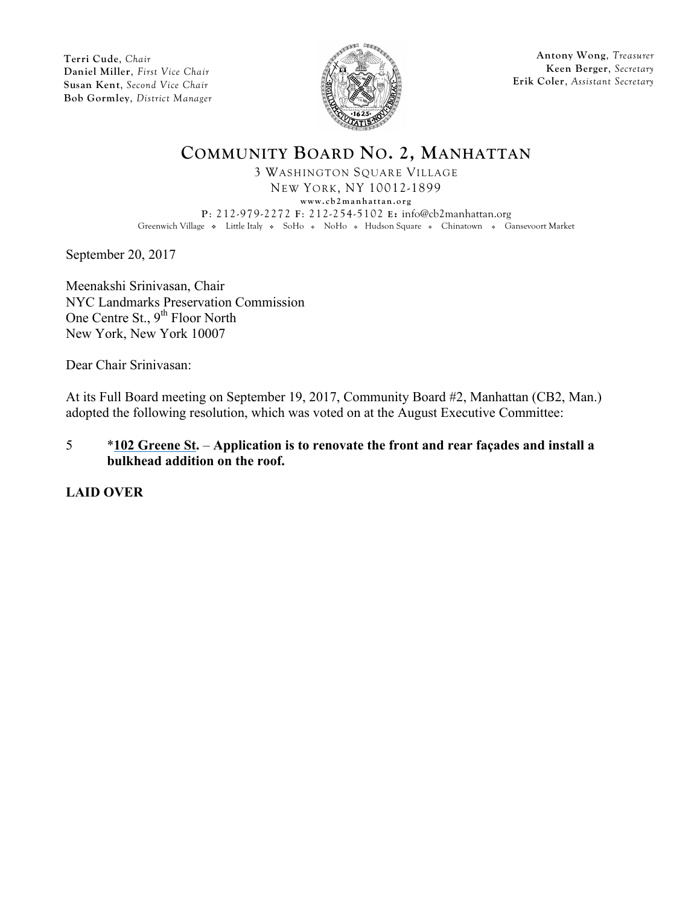

**Antony Wong**, *Treasurer* **Keen Berger**, *Secretary* **Erik Coler**, *Assistant Secretary*

## **COMMUNITY BOARD NO. 2, MANHATTAN**

3 WASHINGTON SQUARE VILLAGE NEW YORK, NY 10012-1899 **www.cb2manhattan.org P**: 212-979-2272 **F**: 212-254-5102 **E:** info@cb2manhattan.org Greenwich Village • Little Italy • SoHo • NoHo • Hudson Square • Chinatown • Gansevoort Market

September 20, 2017

Meenakshi Srinivasan, Chair NYC Landmarks Preservation Commission One Centre St., 9<sup>th</sup> Floor North New York, New York 10007

Dear Chair Srinivasan:

At its Full Board meeting on September 19, 2017, Community Board #2, Manhattan (CB2, Man.) adopted the following resolution, which was voted on at the August Executive Committee:

#### 5 \***102 Greene St.** – **Application is to renovate the front and rear façades and install a bulkhead addition on the roof.**

**LAID OVER**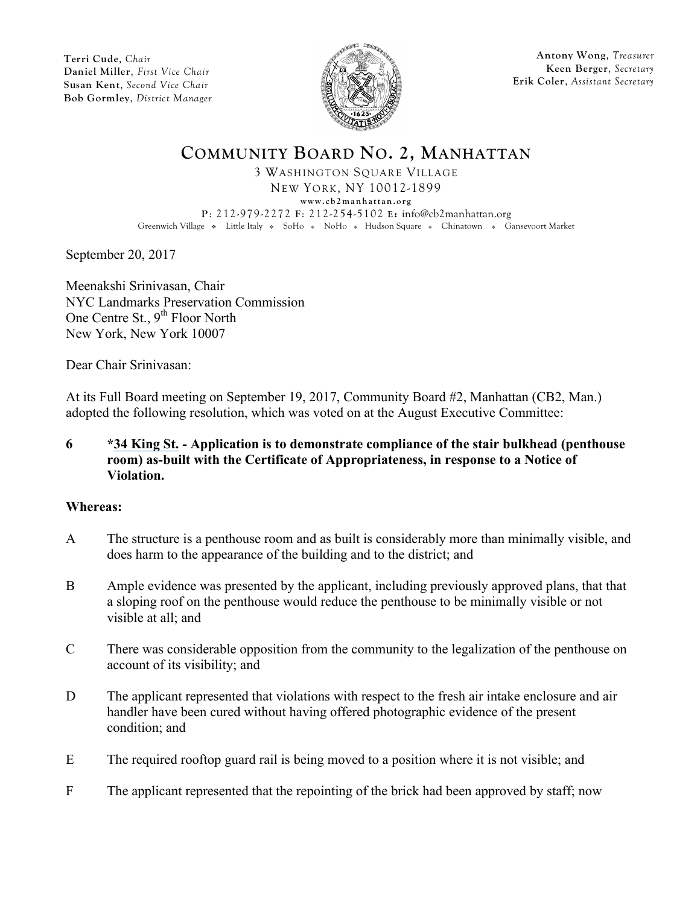

**Antony Wong**, *Treasurer* **Keen Berger**, *Secretary* **Erik Coler**, *Assistant Secretary*

# **COMMUNITY BOARD NO. 2, MANHATTAN**

3 WASHINGTON SQUARE VILLAGE NEW YORK, NY 10012-1899 **www.cb2manhattan.org P**: 212-979-2272 **F**: 212-254-5102 **E:** info@cb2manhattan.org Greenwich Village • Little Italy • SoHo • NoHo • Hudson Square • Chinatown • Gansevoort Market

September 20, 2017

Meenakshi Srinivasan, Chair NYC Landmarks Preservation Commission One Centre St., 9<sup>th</sup> Floor North New York, New York 10007

Dear Chair Srinivasan:

At its Full Board meeting on September 19, 2017, Community Board #2, Manhattan (CB2, Man.) adopted the following resolution, which was voted on at the August Executive Committee:

## **6 \*34 King St. - Application is to demonstrate compliance of the stair bulkhead (penthouse room) as-built with the Certificate of Appropriateness, in response to a Notice of Violation.**

## **Whereas:**

- A The structure is a penthouse room and as built is considerably more than minimally visible, and does harm to the appearance of the building and to the district; and
- B Ample evidence was presented by the applicant, including previously approved plans, that that a sloping roof on the penthouse would reduce the penthouse to be minimally visible or not visible at all; and
- C There was considerable opposition from the community to the legalization of the penthouse on account of its visibility; and
- D The applicant represented that violations with respect to the fresh air intake enclosure and air handler have been cured without having offered photographic evidence of the present condition; and
- E The required rooftop guard rail is being moved to a position where it is not visible; and
- F The applicant represented that the repointing of the brick had been approved by staff; now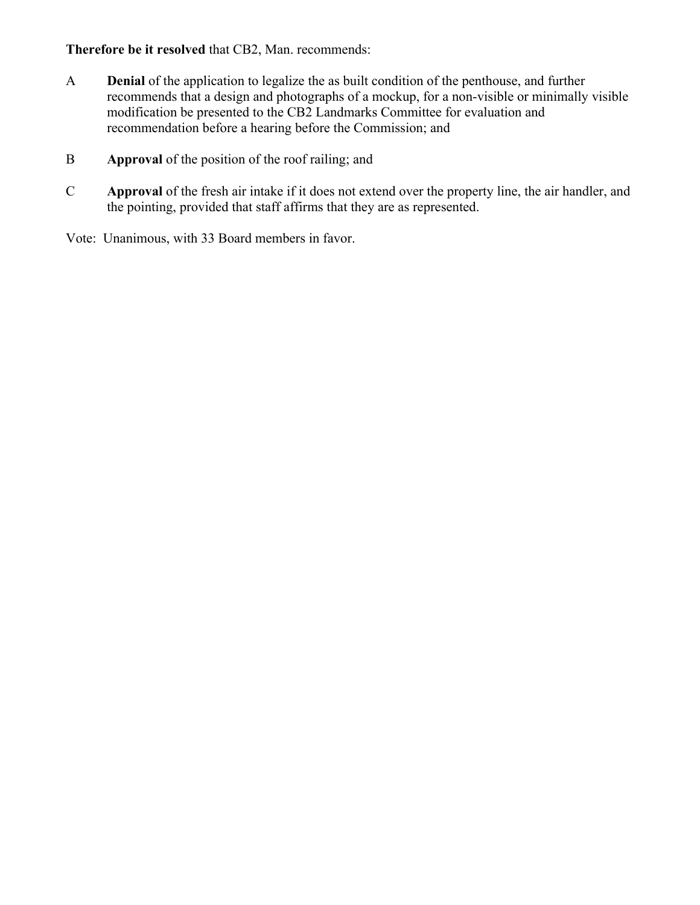## **Therefore be it resolved** that CB2, Man. recommends:

- A **Denial** of the application to legalize the as built condition of the penthouse, and further recommends that a design and photographs of a mockup, for a non-visible or minimally visible modification be presented to the CB2 Landmarks Committee for evaluation and recommendation before a hearing before the Commission; and
- B **Approval** of the position of the roof railing; and
- C **Approval** of the fresh air intake if it does not extend over the property line, the air handler, and the pointing, provided that staff affirms that they are as represented.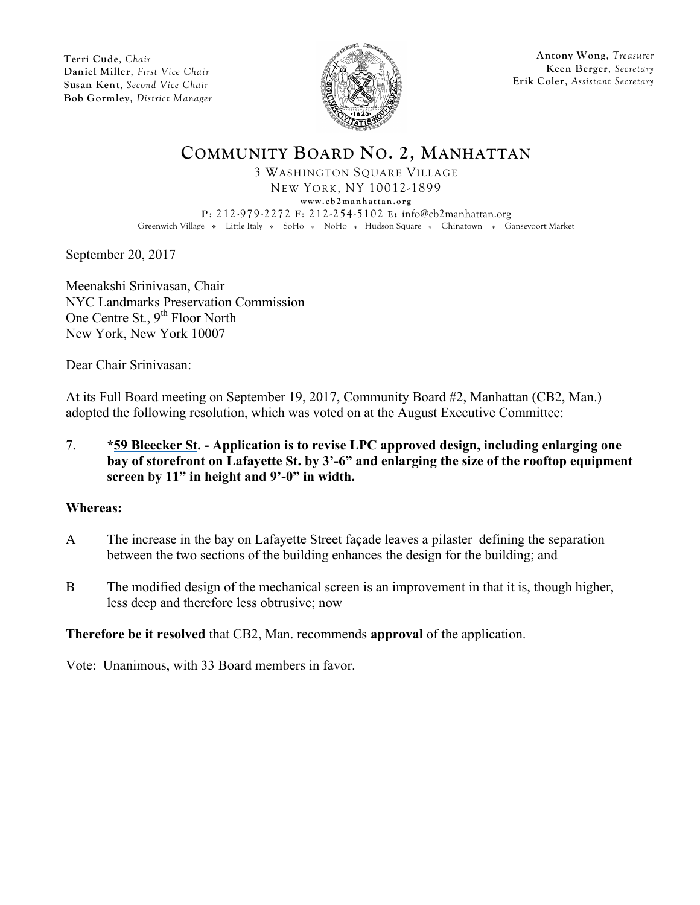

**Antony Wong**, *Treasurer* **Keen Berger**, *Secretary* **Erik Coler**, *Assistant Secretary*

# **COMMUNITY BOARD NO. 2, MANHATTAN**

3 WASHINGTON SQUARE VILLAGE NEW YORK, NY 10012-1899 **www.cb2manhattan.org P**: 212-979-2272 **F**: 212-254-5102 **E:** info@cb2manhattan.org Greenwich Village • Little Italy • SoHo • NoHo • Hudson Square • Chinatown • Gansevoort Market

September 20, 2017

Meenakshi Srinivasan, Chair NYC Landmarks Preservation Commission One Centre St., 9<sup>th</sup> Floor North New York, New York 10007

Dear Chair Srinivasan:

At its Full Board meeting on September 19, 2017, Community Board #2, Manhattan (CB2, Man.) adopted the following resolution, which was voted on at the August Executive Committee:

7. **\*59 Bleecker St. - Application is to revise LPC approved design, including enlarging one bay of storefront on Lafayette St. by 3'-6" and enlarging the size of the rooftop equipment screen by 11" in height and 9'-0" in width.**

## **Whereas:**

- A The increase in the bay on Lafayette Street façade leaves a pilaster defining the separation between the two sections of the building enhances the design for the building; and
- B The modified design of the mechanical screen is an improvement in that it is, though higher, less deep and therefore less obtrusive; now

## **Therefore be it resolved** that CB2, Man. recommends **approval** of the application.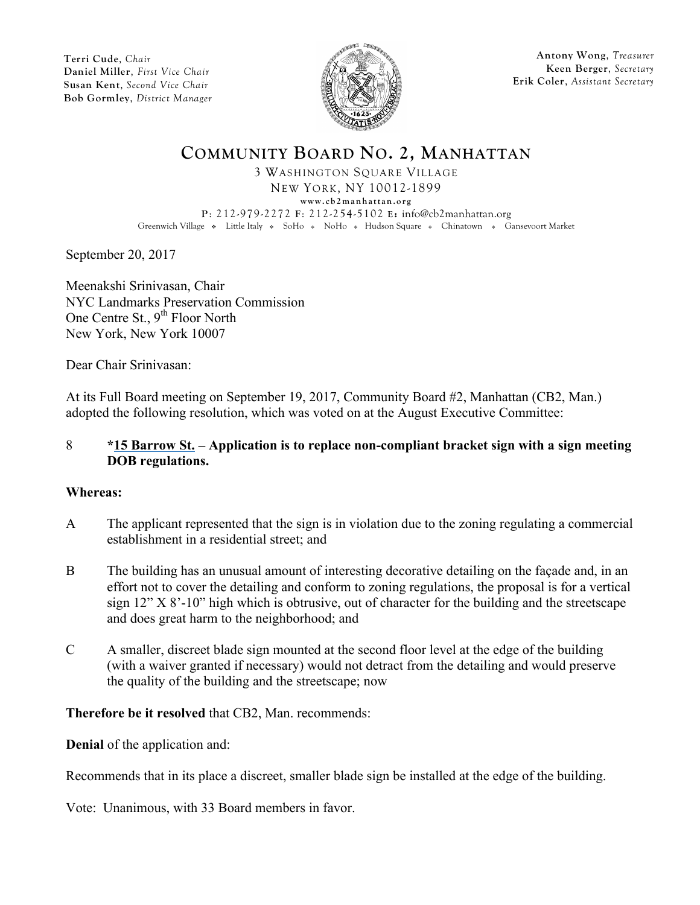

**Antony Wong**, *Treasurer* **Keen Berger**, *Secretary* **Erik Coler**, *Assistant Secretary*

# **COMMUNITY BOARD NO. 2, MANHATTAN**

3 WASHINGTON SQUARE VILLAGE NEW YORK, NY 10012-1899 **www.cb2manhattan.org P**: 212-979-2272 **F**: 212-254-5102 **E:** info@cb2manhattan.org Greenwich Village • Little Italy • SoHo • NoHo • Hudson Square • Chinatown • Gansevoort Market

September 20, 2017

Meenakshi Srinivasan, Chair NYC Landmarks Preservation Commission One Centre St., 9<sup>th</sup> Floor North New York, New York 10007

Dear Chair Srinivasan:

At its Full Board meeting on September 19, 2017, Community Board #2, Manhattan (CB2, Man.) adopted the following resolution, which was voted on at the August Executive Committee:

#### 8 **\*15 Barrow St. – Application is to replace non-compliant bracket sign with a sign meeting DOB regulations.**

#### **Whereas:**

- A The applicant represented that the sign is in violation due to the zoning regulating a commercial establishment in a residential street; and
- B The building has an unusual amount of interesting decorative detailing on the façade and, in an effort not to cover the detailing and conform to zoning regulations, the proposal is for a vertical sign  $12$ " X  $8'$ -10" high which is obtrusive, out of character for the building and the streetscape and does great harm to the neighborhood; and
- C A smaller, discreet blade sign mounted at the second floor level at the edge of the building (with a waiver granted if necessary) would not detract from the detailing and would preserve the quality of the building and the streetscape; now

## **Therefore be it resolved** that CB2, Man. recommends:

**Denial** of the application and:

Recommends that in its place a discreet, smaller blade sign be installed at the edge of the building.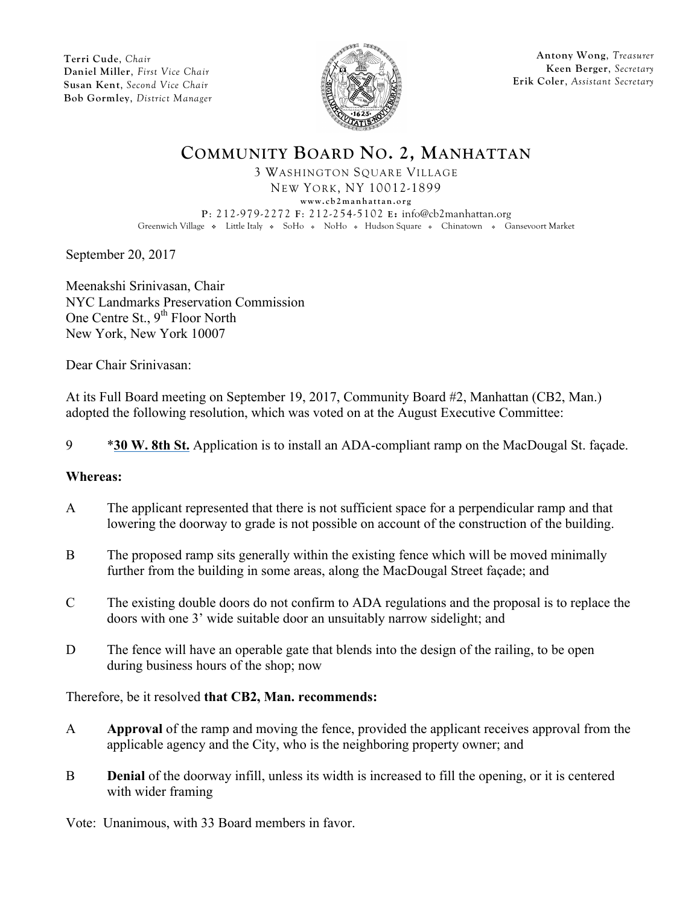

**Antony Wong**, *Treasurer* **Keen Berger**, *Secretary* **Erik Coler**, *Assistant Secretary*

# **COMMUNITY BOARD NO. 2, MANHATTAN**

3 WASHINGTON SQUARE VILLAGE NEW YORK, NY 10012-1899 **www.cb2manhattan.org P**: 212-979-2272 **F**: 212-254-5102 **E:** info@cb2manhattan.org Greenwich Village • Little Italy • SoHo • NoHo • Hudson Square • Chinatown • Gansevoort Market

September 20, 2017

Meenakshi Srinivasan, Chair NYC Landmarks Preservation Commission One Centre St., 9<sup>th</sup> Floor North New York, New York 10007

Dear Chair Srinivasan:

At its Full Board meeting on September 19, 2017, Community Board #2, Manhattan (CB2, Man.) adopted the following resolution, which was voted on at the August Executive Committee:

9 \***30 W. 8th St.** Application is to install an ADA-compliant ramp on the MacDougal St. façade.

#### **Whereas:**

- A The applicant represented that there is not sufficient space for a perpendicular ramp and that lowering the doorway to grade is not possible on account of the construction of the building.
- B The proposed ramp sits generally within the existing fence which will be moved minimally further from the building in some areas, along the MacDougal Street façade; and
- C The existing double doors do not confirm to ADA regulations and the proposal is to replace the doors with one 3' wide suitable door an unsuitably narrow sidelight; and
- D The fence will have an operable gate that blends into the design of the railing, to be open during business hours of the shop; now

Therefore, be it resolved **that CB2, Man. recommends:**

- A **Approval** of the ramp and moving the fence, provided the applicant receives approval from the applicable agency and the City, who is the neighboring property owner; and
- B **Denial** of the doorway infill, unless its width is increased to fill the opening, or it is centered with wider framing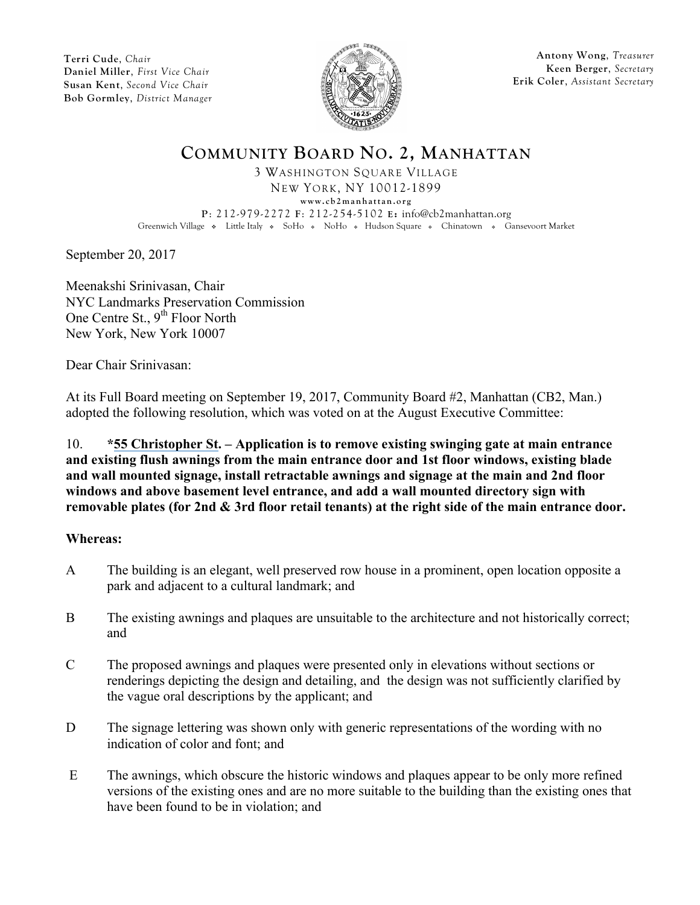

**Antony Wong**, *Treasurer* **Keen Berger**, *Secretary* **Erik Coler**, *Assistant Secretary*

# **COMMUNITY BOARD NO. 2, MANHATTAN**

3 WASHINGTON SQUARE VILLAGE NEW YORK, NY 10012-1899 **www.cb2manhattan.org P**: 212-979-2272 **F**: 212-254-5102 **E:** info@cb2manhattan.org Greenwich Village • Little Italy • SoHo • NoHo • Hudson Square • Chinatown • Gansevoort Market

September 20, 2017

Meenakshi Srinivasan, Chair NYC Landmarks Preservation Commission One Centre St., 9<sup>th</sup> Floor North New York, New York 10007

Dear Chair Srinivasan:

At its Full Board meeting on September 19, 2017, Community Board #2, Manhattan (CB2, Man.) adopted the following resolution, which was voted on at the August Executive Committee:

## 10. **\*55 Christopher St. – Application is to remove existing swinging gate at main entrance and existing flush awnings from the main entrance door and 1st floor windows, existing blade and wall mounted signage, install retractable awnings and signage at the main and 2nd floor windows and above basement level entrance, and add a wall mounted directory sign with removable plates (for 2nd & 3rd floor retail tenants) at the right side of the main entrance door.**

#### **Whereas:**

- A The building is an elegant, well preserved row house in a prominent, open location opposite a park and adjacent to a cultural landmark; and
- B The existing awnings and plaques are unsuitable to the architecture and not historically correct; and
- C The proposed awnings and plaques were presented only in elevations without sections or renderings depicting the design and detailing, and the design was not sufficiently clarified by the vague oral descriptions by the applicant; and
- D The signage lettering was shown only with generic representations of the wording with no indication of color and font; and
- E The awnings, which obscure the historic windows and plaques appear to be only more refined versions of the existing ones and are no more suitable to the building than the existing ones that have been found to be in violation; and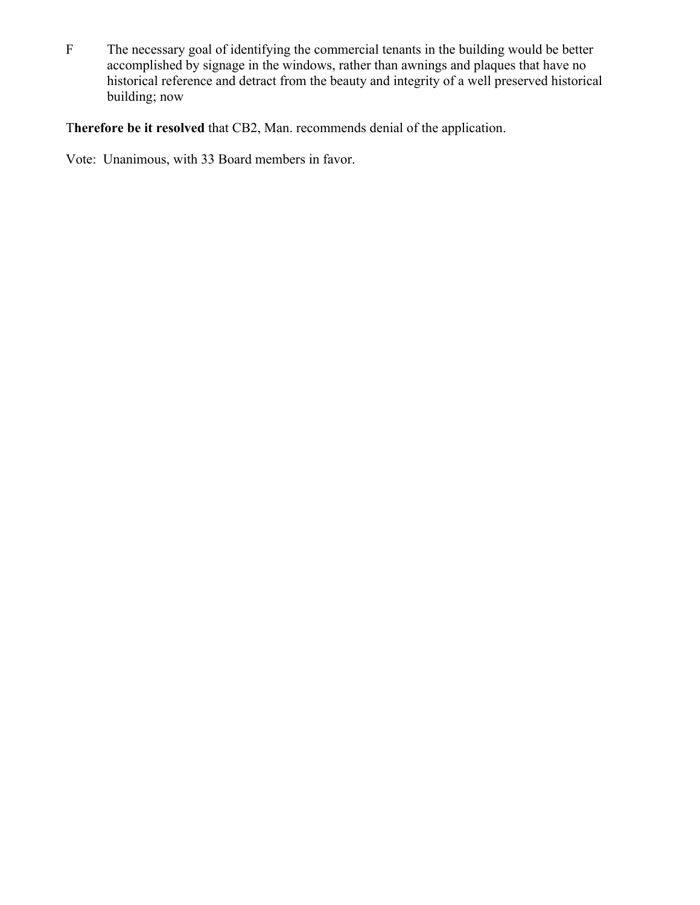F The necessary goal of identifying the commercial tenants in the building would be better accomplished by signage in the windows, rather than awnings and plaques that have no historical reference and detract from the beauty and integrity of a well preserved historical building; now

T**herefore be it resolved** that CB2, Man. recommends denial of the application.